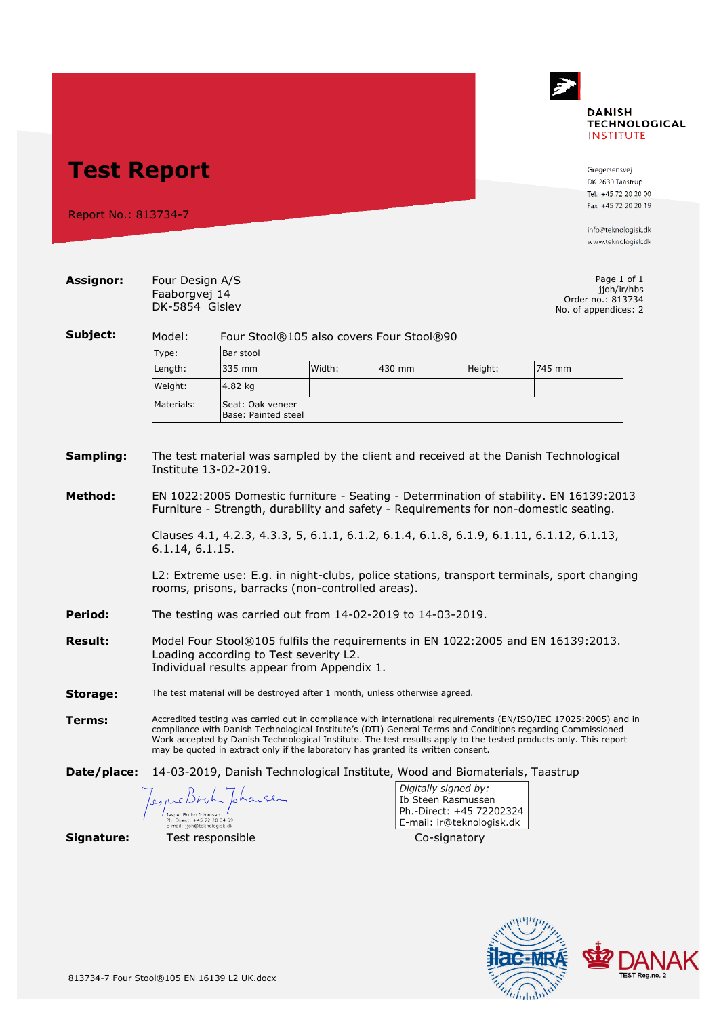

## **Test Report**

Report No.: 813734-7

Gregersensvej DK-2630 Taastrup Tel. +45 72 20 20 00 Fax +45 72 20 20 19

info@teknologisk.dk www.teknologisk.dk

| Assignor:      | Four Design A/S<br>Faaborgvej 14<br>DK-5854 Gislev                                                                                                                                                                                                                                                                                                                                                                                             |                                                              |  |  |                                                                                                     | Page 1 of 1<br>jjoh/ir/hbs<br>Order no.: 813734 |  |  |  |
|----------------|------------------------------------------------------------------------------------------------------------------------------------------------------------------------------------------------------------------------------------------------------------------------------------------------------------------------------------------------------------------------------------------------------------------------------------------------|--------------------------------------------------------------|--|--|-----------------------------------------------------------------------------------------------------|-------------------------------------------------|--|--|--|
| Subject:       | No. of appendices: 2                                                                                                                                                                                                                                                                                                                                                                                                                           |                                                              |  |  |                                                                                                     |                                                 |  |  |  |
|                | Model:                                                                                                                                                                                                                                                                                                                                                                                                                                         | Four Stool®105 also covers Four Stool®90                     |  |  |                                                                                                     |                                                 |  |  |  |
|                | Type:<br>Length:                                                                                                                                                                                                                                                                                                                                                                                                                               | Bar stool<br>335 mm<br>Width:<br>Height:<br>745 mm<br>430 mm |  |  |                                                                                                     |                                                 |  |  |  |
|                |                                                                                                                                                                                                                                                                                                                                                                                                                                                |                                                              |  |  |                                                                                                     |                                                 |  |  |  |
|                | Weight:                                                                                                                                                                                                                                                                                                                                                                                                                                        | 4.82 kg                                                      |  |  |                                                                                                     |                                                 |  |  |  |
|                | Materials:                                                                                                                                                                                                                                                                                                                                                                                                                                     | Seat: Oak veneer<br>Base: Painted steel                      |  |  |                                                                                                     |                                                 |  |  |  |
| Sampling:      | The test material was sampled by the client and received at the Danish Technological<br>Institute 13-02-2019.                                                                                                                                                                                                                                                                                                                                  |                                                              |  |  |                                                                                                     |                                                 |  |  |  |
| Method:        | EN 1022:2005 Domestic furniture - Seating - Determination of stability. EN 16139:2013<br>Furniture - Strength, durability and safety - Requirements for non-domestic seating.<br>Clauses 4.1, 4.2.3, 4.3.3, 5, 6.1.1, 6.1.2, 6.1.4, 6.1.8, 6.1.9, 6.1.11, 6.1.12, 6.1.13,<br>6.1.14, 6.1.15.<br>L2: Extreme use: E.g. in night-clubs, police stations, transport terminals, sport changing<br>rooms, prisons, barracks (non-controlled areas). |                                                              |  |  |                                                                                                     |                                                 |  |  |  |
| Period:        | The testing was carried out from 14-02-2019 to 14-03-2019.                                                                                                                                                                                                                                                                                                                                                                                     |                                                              |  |  |                                                                                                     |                                                 |  |  |  |
| <b>Result:</b> | Model Four Stool®105 fulfils the requirements in EN 1022:2005 and EN 16139:2013.<br>Loading according to Test severity L2.<br>Individual results appear from Appendix 1.                                                                                                                                                                                                                                                                       |                                                              |  |  |                                                                                                     |                                                 |  |  |  |
| Storage:       | The test material will be destroyed after 1 month, unless otherwise agreed.                                                                                                                                                                                                                                                                                                                                                                    |                                                              |  |  |                                                                                                     |                                                 |  |  |  |
| Terms:         | Accredited testing was carried out in compliance with international requirements (EN/ISO/IEC 17025:2005) and in<br>compliance with Danish Technological Institute's (DTI) General Terms and Conditions regarding Commissioned<br>Work accepted by Danish Technological Institute. The test results apply to the tested products only. This report<br>may be quoted in extract only if the laboratory has granted its written consent.          |                                                              |  |  |                                                                                                     |                                                 |  |  |  |
| Date/place:    | 14-03-2019, Danish Technological Institute, Wood and Biomaterials, Taastrup                                                                                                                                                                                                                                                                                                                                                                    |                                                              |  |  |                                                                                                     |                                                 |  |  |  |
|                | tioh@teknologisk d                                                                                                                                                                                                                                                                                                                                                                                                                             | pharce                                                       |  |  | Digitally signed by:<br>Ib Steen Rasmussen<br>Ph.-Direct: +45 72202324<br>E-mail: ir@teknologisk.dk |                                                 |  |  |  |
| Signature:     |                                                                                                                                                                                                                                                                                                                                                                                                                                                | Test responsible                                             |  |  | Co-signatory                                                                                        |                                                 |  |  |  |

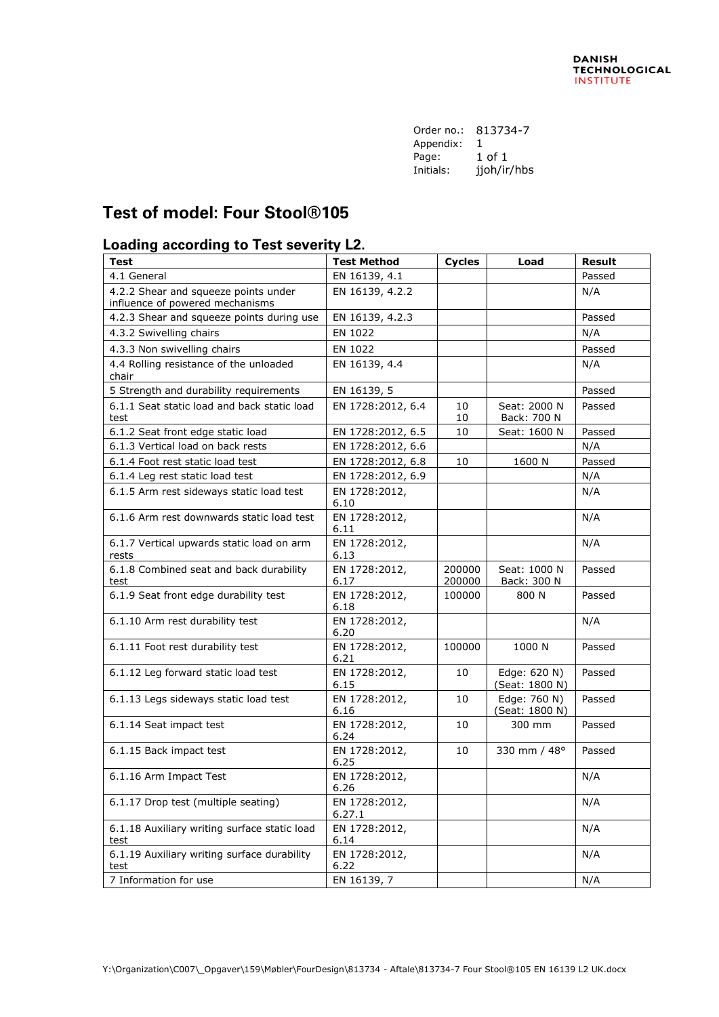| Order no.: | 813734-7    |
|------------|-------------|
| Appendix:  | 1           |
| Page:      | 1 of 1      |
| Initials:  | jjoh/ir/hbs |

## **Test of model: Four Stool®105**

## **Loading according to Test severity L2.**

| <b>Test</b>                                                             | <b>Test Method</b>      | <b>Cycles</b>    | Load                           | <b>Result</b> |
|-------------------------------------------------------------------------|-------------------------|------------------|--------------------------------|---------------|
| 4.1 General                                                             | EN 16139, 4.1           |                  |                                | Passed        |
| 4.2.2 Shear and squeeze points under<br>influence of powered mechanisms | EN 16139, 4.2.2         |                  |                                | N/A           |
| 4.2.3 Shear and squeeze points during use                               | EN 16139, 4.2.3         |                  |                                | Passed        |
| 4.3.2 Swivelling chairs                                                 | EN 1022                 |                  |                                | N/A           |
| 4.3.3 Non swivelling chairs                                             | EN 1022                 |                  |                                | Passed        |
| 4.4 Rolling resistance of the unloaded<br>chair                         | EN 16139, 4.4           |                  |                                | N/A           |
| 5 Strength and durability requirements                                  | EN 16139, 5             |                  |                                | Passed        |
| 6.1.1 Seat static load and back static load<br>test                     | EN 1728:2012, 6.4       | 10<br>10         | Seat: 2000 N<br>Back: 700 N    | Passed        |
| 6.1.2 Seat front edge static load                                       | EN 1728:2012, 6.5       | 10               | Seat: 1600 N                   | Passed        |
| 6.1.3 Vertical load on back rests                                       | EN 1728:2012, 6.6       |                  |                                | N/A           |
| 6.1.4 Foot rest static load test                                        | EN 1728:2012, 6.8       | 10               | 1600 N                         | Passed        |
| 6.1.4 Leg rest static load test                                         | EN 1728:2012, 6.9       |                  |                                | N/A           |
| 6.1.5 Arm rest sideways static load test                                | EN 1728:2012,<br>6.10   |                  |                                | N/A           |
| 6.1.6 Arm rest downwards static load test                               | EN 1728:2012,<br>6.11   |                  |                                | N/A           |
| 6.1.7 Vertical upwards static load on arm<br>rests                      | EN 1728:2012,<br>6.13   |                  |                                | N/A           |
| 6.1.8 Combined seat and back durability<br>test                         | EN 1728:2012,<br>6.17   | 200000<br>200000 | Seat: 1000 N<br>Back: 300 N    | Passed        |
| 6.1.9 Seat front edge durability test                                   | EN 1728:2012,<br>6.18   | 100000           | 800 N                          | Passed        |
| 6.1.10 Arm rest durability test                                         | EN 1728:2012,<br>6.20   |                  |                                | N/A           |
| 6.1.11 Foot rest durability test                                        | EN 1728:2012,<br>6.21   | 100000           | 1000 N                         | Passed        |
| 6.1.12 Leg forward static load test                                     | EN 1728:2012,<br>6.15   | 10               | Edge: 620 N)<br>(Seat: 1800 N) | Passed        |
| 6.1.13 Legs sideways static load test                                   | EN 1728:2012,<br>6.16   | 10               | Edge: 760 N)<br>(Seat: 1800 N) | Passed        |
| 6.1.14 Seat impact test                                                 | EN 1728:2012,<br>6.24   | 10               | 300 mm                         | Passed        |
| 6.1.15 Back impact test                                                 | EN 1728:2012,<br>6.25   | 10               | 330 mm / 48°                   | Passed        |
| 6.1.16 Arm Impact Test                                                  | EN 1728:2012,<br>6.26   |                  |                                | N/A           |
| 6.1.17 Drop test (multiple seating)                                     | EN 1728:2012,<br>6.27.1 |                  |                                | N/A           |
| 6.1.18 Auxiliary writing surface static load<br>test                    | EN 1728:2012,<br>6.14   |                  |                                | N/A           |
| 6.1.19 Auxiliary writing surface durability<br>test                     | EN 1728:2012,<br>6.22   |                  |                                | N/A           |
| 7 Information for use                                                   | EN 16139, 7             |                  |                                | N/A           |